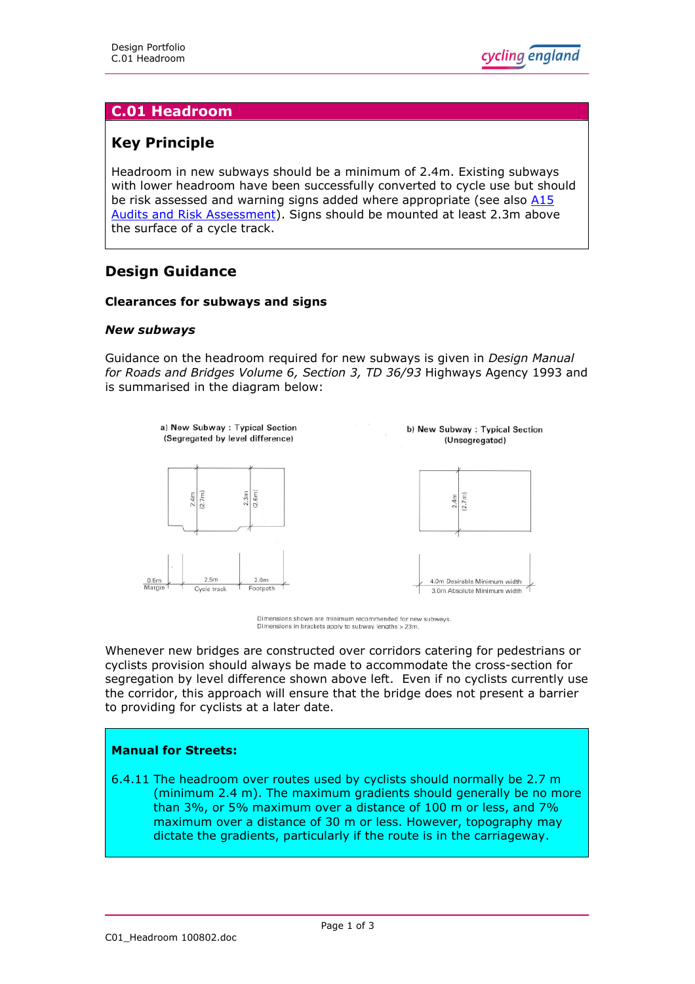

## **C.01 Headroom**

# **Key Principle**

Headroom in new subways should be a minimum of 2.4m. Existing subways with lower headroom have been successfully converted to cycle use but should be risk assessed and warning signs added where appropriate (see also  $A15$ [Audits and Risk Assessment\)](http://www.cyclingengland.co.uk/docs/A15_Audits_and_Risk_Assessment.pdf). Signs should be mounted at least 2.3m above the surface of a cycle track.

## **Design Guidance**

## **Clearances for subways and signs**

#### *New subways*

Guidance on the headroom required for new subways is given in *Design Manual for Roads and Bridges Volume 6, Section 3, TD 36/93* Highways Agency 1993 and is summarised in the diagram below:



Dimensions shown are minimum recommended for new subways. Dimensions in brackets apply to subway lengths > 23m.

Whenever new bridges are constructed over corridors catering for pedestrians or cyclists provision should always be made to accommodate the cross-section for segregation by level difference shown above left. Even if no cyclists currently use the corridor, this approach will ensure that the bridge does not present a barrier to providing for cyclists at a later date.

## **Manual for Streets:**

6.4.11 The headroom over routes used by cyclists should normally be 2.7 m (minimum 2.4 m). The maximum gradients should generally be no more than 3%, or 5% maximum over a distance of 100 m or less, and 7% maximum over a distance of 30 m or less. However, topography may dictate the gradients, particularly if the route is in the carriageway.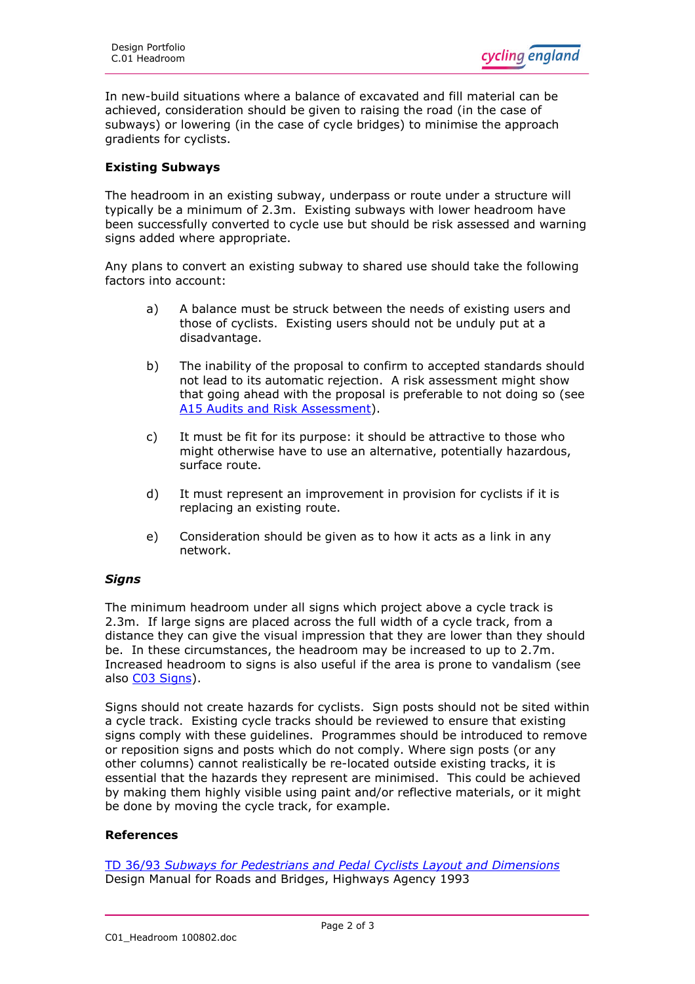cycling england

In new-build situations where a balance of excavated and fill material can be achieved, consideration should be given to raising the road (in the case of subways) or lowering (in the case of cycle bridges) to minimise the approach gradients for cyclists.

## **Existing Subways**

The headroom in an existing subway, underpass or route under a structure will typically be a minimum of 2.3m. Existing subways with lower headroom have been successfully converted to cycle use but should be risk assessed and warning signs added where appropriate.

Any plans to convert an existing subway to shared use should take the following factors into account:

- a) A balance must be struck between the needs of existing users and those of cyclists. Existing users should not be unduly put at a disadvantage.
- b) The inability of the proposal to confirm to accepted standards should not lead to its automatic rejection. A risk assessment might show that going ahead with the proposal is preferable to not doing so (see [A15 Audits and Risk Assessment\)](http://www.cyclingengland.co.uk/docs/A15_Audits_and_Risk_Assessment.pdf).
- c) It must be fit for its purpose: it should be attractive to those who might otherwise have to use an alternative, potentially hazardous, surface route.
- d) It must represent an improvement in provision for cyclists if it is replacing an existing route.
- e) Consideration should be given as to how it acts as a link in any network.

## *Signs*

The minimum headroom under all signs which project above a cycle track is 2.3m. If large signs are placed across the full width of a cycle track, from a distance they can give the visual impression that they are lower than they should be. In these circumstances, the headroom may be increased to up to 2.7m. Increased headroom to signs is also useful if the area is prone to vandalism (see also [C03 Signs\)](http://www.cyclingengland.co.uk/docs/C03_Signs.pdf).

Signs should not create hazards for cyclists. Sign posts should not be sited within a cycle track. Existing cycle tracks should be reviewed to ensure that existing signs comply with these guidelines. Programmes should be introduced to remove or reposition signs and posts which do not comply. Where sign posts (or any other columns) cannot realistically be re-located outside existing tracks, it is essential that the hazards they represent are minimised. This could be achieved by making them highly visible using paint and/or reflective materials, or it might be done by moving the cycle track, for example.

## **References**

TD 36/93 *[Subways for Pedestrians and Pedal Cyclists Layout and Dimensions](http://www.standardsforhighways.co.uk/dmrb/vol6/section3/td3693.pdf)* Design Manual for Roads and Bridges, Highways Agency 1993